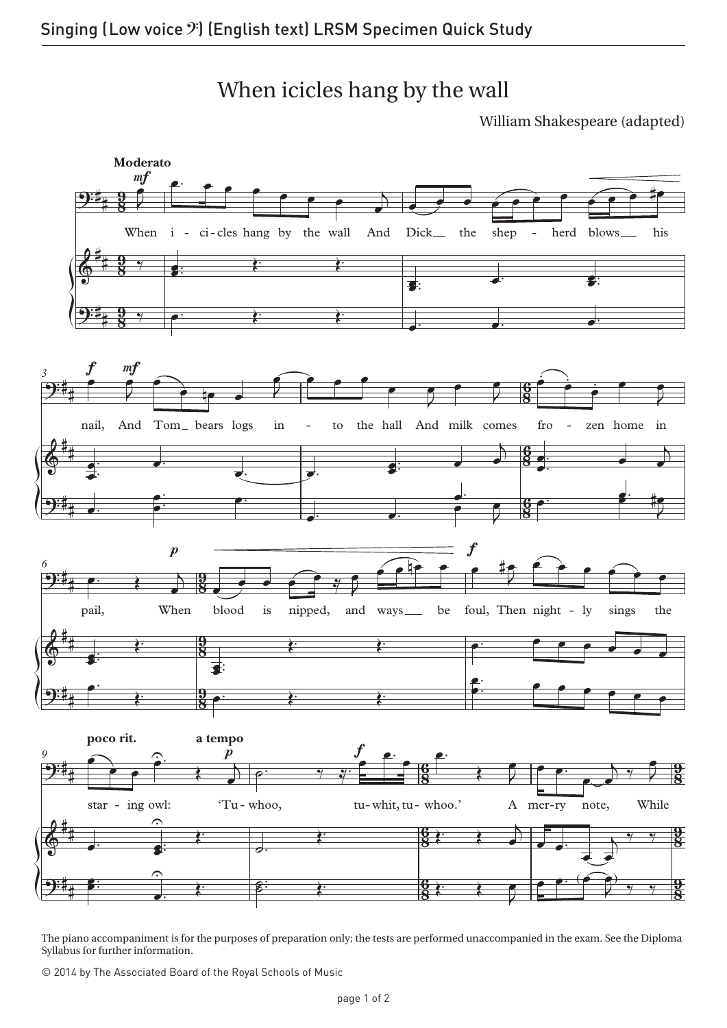When icicles hang by the wall

William Shakespeare (adapted)



The piano accompaniment is for the purposes of preparation only; the tests are performed unaccompanied in the exam. See the Diploma Syllabus for further information.

© 2014 by The Associated Board of the Royal Schools of Music